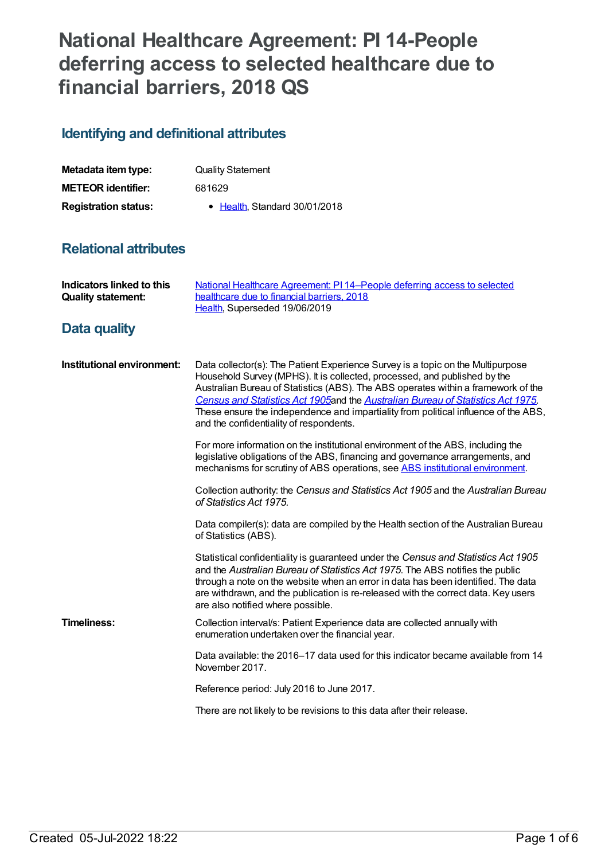# **National Healthcare Agreement: PI 14-People deferring access to selected healthcare due to financial barriers, 2018 QS**

# **Identifying and definitional attributes**

| Metadata item type:         | <b>Quality Statement</b>      |
|-----------------------------|-------------------------------|
| <b>METEOR identifier:</b>   | 681629                        |
| <b>Registration status:</b> | • Health, Standard 30/01/2018 |

# **Relational attributes**

| <b>Indicators linked to this</b><br><b>Quality statement:</b> | National Healthcare Agreement: PI 14-People deferring access to selected<br>healthcare due to financial barriers, 2018<br>Health, Superseded 19/06/2019                                                                                                                                                                                                                                                                                                                |
|---------------------------------------------------------------|------------------------------------------------------------------------------------------------------------------------------------------------------------------------------------------------------------------------------------------------------------------------------------------------------------------------------------------------------------------------------------------------------------------------------------------------------------------------|
| Data quality                                                  |                                                                                                                                                                                                                                                                                                                                                                                                                                                                        |
| Institutional environment:                                    | Data collector(s): The Patient Experience Survey is a topic on the Multipurpose<br>Household Survey (MPHS). It is collected, processed, and published by the<br>Australian Bureau of Statistics (ABS). The ABS operates within a framework of the<br>Census and Statistics Act 1905and the Australian Bureau of Statistics Act 1975.<br>These ensure the independence and impartiality from political influence of the ABS,<br>and the confidentiality of respondents. |
|                                                               | For more information on the institutional environment of the ABS, including the<br>legislative obligations of the ABS, financing and governance arrangements, and<br>mechanisms for scrutiny of ABS operations, see ABS institutional environment.                                                                                                                                                                                                                     |
|                                                               | Collection authority: the Census and Statistics Act 1905 and the Australian Bureau<br>of Statistics Act 1975.                                                                                                                                                                                                                                                                                                                                                          |
|                                                               | Data compiler(s): data are compiled by the Health section of the Australian Bureau<br>of Statistics (ABS).                                                                                                                                                                                                                                                                                                                                                             |
|                                                               | Statistical confidentiality is guaranteed under the Census and Statistics Act 1905<br>and the Australian Bureau of Statistics Act 1975. The ABS notifies the public<br>through a note on the website when an error in data has been identified. The data<br>are withdrawn, and the publication is re-released with the correct data. Key users<br>are also notified where possible.                                                                                    |
| <b>Timeliness:</b>                                            | Collection interval/s: Patient Experience data are collected annually with<br>enumeration undertaken over the financial year.                                                                                                                                                                                                                                                                                                                                          |
|                                                               | Data available: the 2016–17 data used for this indicator became available from 14<br>November 2017.                                                                                                                                                                                                                                                                                                                                                                    |
|                                                               | Reference period: July 2016 to June 2017.                                                                                                                                                                                                                                                                                                                                                                                                                              |
|                                                               | There are not likely to be revisions to this data after their release.                                                                                                                                                                                                                                                                                                                                                                                                 |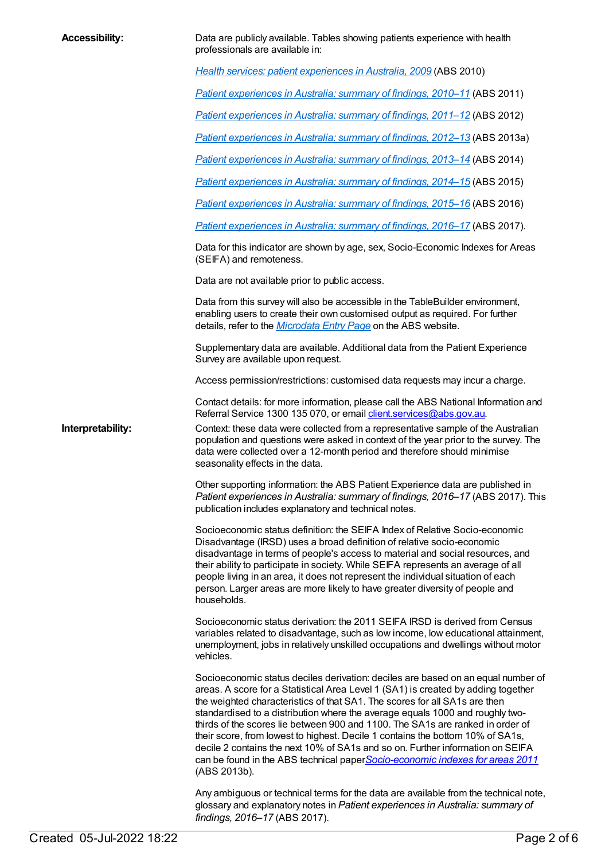| <b>Accessibility:</b> | Data are publicly available. Tables showing patients experience with health<br>professionals are available in:                                                                                                                                                                                                                                                                                                                                                                                                                                                                                                                                                                             |
|-----------------------|--------------------------------------------------------------------------------------------------------------------------------------------------------------------------------------------------------------------------------------------------------------------------------------------------------------------------------------------------------------------------------------------------------------------------------------------------------------------------------------------------------------------------------------------------------------------------------------------------------------------------------------------------------------------------------------------|
|                       | Health services: patient experiences in Australia, 2009 (ABS 2010)                                                                                                                                                                                                                                                                                                                                                                                                                                                                                                                                                                                                                         |
|                       | Patient experiences in Australia: summary of findings, 2010-11 (ABS 2011)                                                                                                                                                                                                                                                                                                                                                                                                                                                                                                                                                                                                                  |
|                       | Patient experiences in Australia: summary of findings, 2011-12 (ABS 2012)                                                                                                                                                                                                                                                                                                                                                                                                                                                                                                                                                                                                                  |
|                       | Patient experiences in Australia: summary of findings, 2012-13 (ABS 2013a)                                                                                                                                                                                                                                                                                                                                                                                                                                                                                                                                                                                                                 |
|                       | Patient experiences in Australia: summary of findings, 2013-14 (ABS 2014)                                                                                                                                                                                                                                                                                                                                                                                                                                                                                                                                                                                                                  |
|                       | Patient experiences in Australia: summary of findings, 2014–15 (ABS 2015)                                                                                                                                                                                                                                                                                                                                                                                                                                                                                                                                                                                                                  |
|                       | Patient experiences in Australia: summary of findings, 2015-16 (ABS 2016)                                                                                                                                                                                                                                                                                                                                                                                                                                                                                                                                                                                                                  |
|                       | Patient experiences in Australia: summary of findings, 2016-17 (ABS 2017).                                                                                                                                                                                                                                                                                                                                                                                                                                                                                                                                                                                                                 |
|                       | Data for this indicator are shown by age, sex, Socio-Economic Indexes for Areas<br>(SEIFA) and remoteness.                                                                                                                                                                                                                                                                                                                                                                                                                                                                                                                                                                                 |
|                       | Data are not available prior to public access.                                                                                                                                                                                                                                                                                                                                                                                                                                                                                                                                                                                                                                             |
|                       | Data from this survey will also be accessible in the TableBuilder environment,<br>enabling users to create their own customised output as required. For further<br>details, refer to the <i>Microdata Entry Page</i> on the ABS website.                                                                                                                                                                                                                                                                                                                                                                                                                                                   |
|                       | Supplementary data are available. Additional data from the Patient Experience<br>Survey are available upon request.                                                                                                                                                                                                                                                                                                                                                                                                                                                                                                                                                                        |
|                       | Access permission/restrictions: customised data requests may incur a charge.                                                                                                                                                                                                                                                                                                                                                                                                                                                                                                                                                                                                               |
|                       | Contact details: for more information, please call the ABS National Information and<br>Referral Service 1300 135 070, or email <i>client services@abs.gov.au.</i>                                                                                                                                                                                                                                                                                                                                                                                                                                                                                                                          |
| Interpretability:     | Context: these data were collected from a representative sample of the Australian<br>population and questions were asked in context of the year prior to the survey. The<br>data were collected over a 12-month period and therefore should minimise<br>seasonality effects in the data.                                                                                                                                                                                                                                                                                                                                                                                                   |
|                       | Other supporting information: the ABS Patient Experience data are published in<br>Patient experiences in Australia: summary of findings, 2016-17 (ABS 2017). This<br>publication includes explanatory and technical notes.                                                                                                                                                                                                                                                                                                                                                                                                                                                                 |
|                       | Socioeconomic status definition: the SEIFA Index of Relative Socio-economic<br>Disadvantage (IRSD) uses a broad definition of relative socio-economic<br>disadvantage in terms of people's access to material and social resources, and<br>their ability to participate in society. While SEIFA represents an average of all<br>people living in an area, it does not represent the individual situation of each<br>person. Larger areas are more likely to have greater diversity of people and<br>households.                                                                                                                                                                            |
|                       | Socioeconomic status derivation: the 2011 SEIFA IRSD is derived from Census<br>variables related to disadvantage, such as low income, low educational attainment,<br>unemployment, jobs in relatively unskilled occupations and dwellings without motor<br>vehicles.                                                                                                                                                                                                                                                                                                                                                                                                                       |
|                       | Socioeconomic status deciles derivation: deciles are based on an equal number of<br>areas. A score for a Statistical Area Level 1 (SA1) is created by adding together<br>the weighted characteristics of that SA1. The scores for all SA1s are then<br>standardised to a distribution where the average equals 1000 and roughly two-<br>thirds of the scores lie between 900 and 1100. The SA1s are ranked in order of<br>their score, from lowest to highest. Decile 1 contains the bottom 10% of SA1s,<br>decile 2 contains the next 10% of SA1s and so on. Further information on SEIFA<br>can be found in the ABS technical paperSocio-economic indexes for areas 2011<br>(ABS 2013b). |
|                       | Any ambiguous or technical terms for the data are available from the technical note,<br>glossary and explanatory notes in Patient experiences in Australia: summary of<br>findings, 2016-17 (ABS 2017).                                                                                                                                                                                                                                                                                                                                                                                                                                                                                    |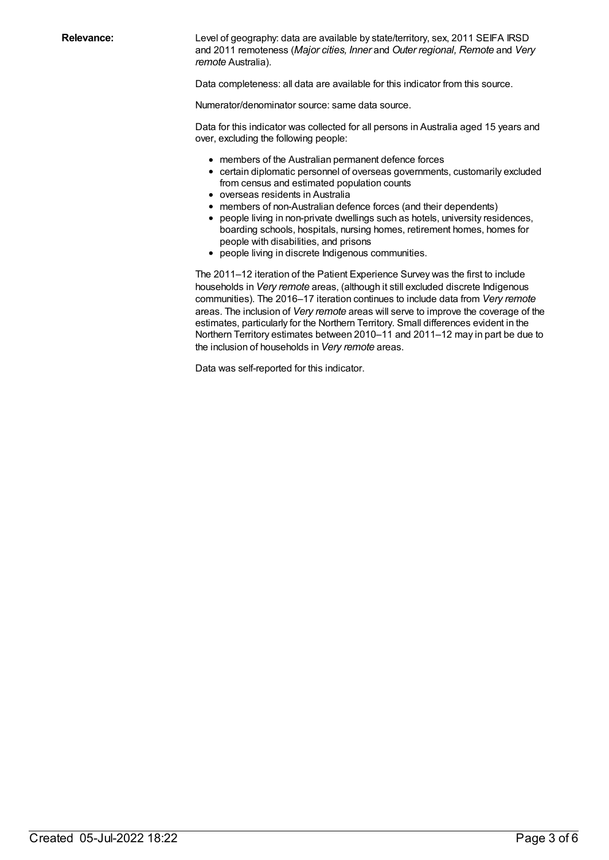Relevance: Level of geography: data are available by state/territory, sex, 2011 SEIFA IRSD and 2011 remoteness (*Major cities, Inner* and *Outer regional, Remote* and *Very remote* Australia).

Data completeness: all data are available for this indicator from this source.

Numerator/denominator source: same data source.

Data for this indicator was collected for all persons in Australia aged 15 years and over, excluding the following people:

- members of the Australian permanent defence forces
- certain diplomatic personnel of overseas governments, customarily excluded from census and estimated population counts
- overseas residents in Australia
- members of non-Australian defence forces (and their dependents)
- people living in non-private dwellings such as hotels, university residences, boarding schools, hospitals, nursing homes, retirement homes, homes for people with disabilities, and prisons
- people living in discrete Indigenous communities.

The 2011–12 iteration of the Patient Experience Survey was the first to include households in *Very remote* areas, (although it still excluded discrete Indigenous communities). The 2016–17 iteration continues to include data from *Very remote* areas. The inclusion of *Very remote* areas will serve to improve the coverage of the estimates, particularly for the Northern Territory. Small differences evident in the Northern Territory estimates between 2010–11 and 2011–12 may in part be due to the inclusion of households in *Very remote* areas.

Data was self-reported for this indicator.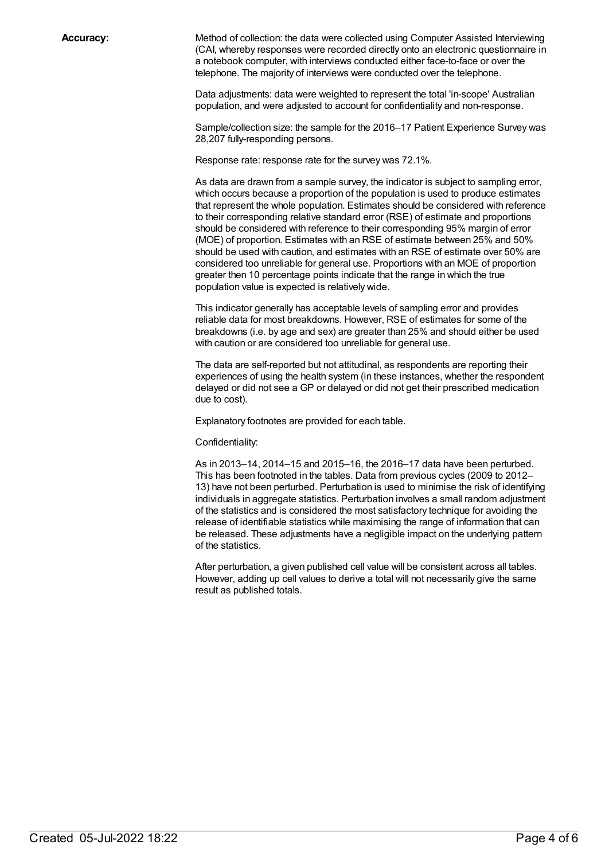**Accuracy:** Method of collection: the data were collected using Computer Assisted Interviewing (CAI, whereby responses were recorded directly onto an electronic questionnaire in a notebook computer, with interviews conducted either face-to-face or over the telephone. The majority of interviews were conducted over the telephone.

> Data adjustments: data were weighted to represent the total 'in-scope' Australian population, and were adjusted to account for confidentiality and non-response.

Sample/collection size: the sample for the 2016–17 Patient Experience Survey was 28,207 fully-responding persons.

Response rate: response rate for the survey was 72.1%.

As data are drawn from a sample survey, the indicator is subject to sampling error, which occurs because a proportion of the population is used to produce estimates that represent the whole population. Estimates should be considered with reference to their corresponding relative standard error (RSE) of estimate and proportions should be considered with reference to their corresponding 95% margin of error (MOE) of proportion. Estimates with an RSE of estimate between 25% and 50% should be used with caution, and estimates with an RSE of estimate over 50% are considered too unreliable for general use. Proportions with an MOE of proportion greater then 10 percentage points indicate that the range in which the true population value is expected is relatively wide.

This indicator generally has acceptable levels of sampling error and provides reliable data for most breakdowns. However, RSE of estimates for some of the breakdowns (i.e. by age and sex) are greater than 25% and should either be used with caution or are considered too unreliable for general use.

The data are self-reported but not attitudinal, as respondents are reporting their experiences of using the health system (in these instances, whether the respondent delayed or did not see a GP or delayed or did not get their prescribed medication due to cost).

Explanatory footnotes are provided for each table.

Confidentiality:

As in 2013–14, 2014–15 and 2015–16, the 2016–17 data have been perturbed. This has been footnoted in the tables. Data from previous cycles (2009 to 2012– 13) have not been perturbed. Perturbation is used to minimise the risk of identifying individuals in aggregate statistics. Perturbation involves a small random adjustment of the statistics and is considered the most satisfactory technique for avoiding the release of identifiable statistics while maximising the range of information that can be released. These adjustments have a negligible impact on the underlying pattern of the statistics.

After perturbation, a given published cell value will be consistent across all tables. However, adding up cell values to derive a total will not necessarily give the same result as published totals.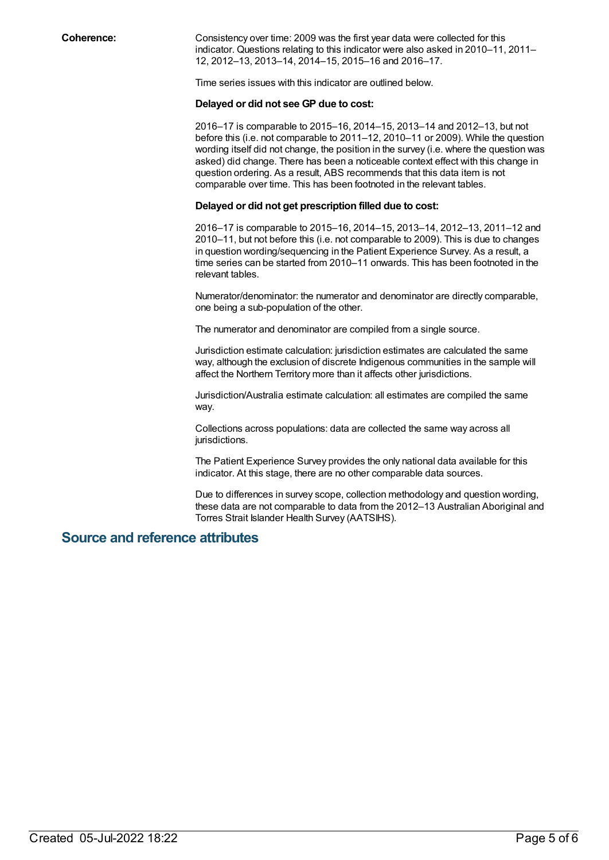**Coherence:** Consistency over time: 2009 was the first year data were collected for this indicator. Questions relating to this indicator were also asked in 2010–11, 2011– 12, 2012–13, 2013–14, 2014–15, 2015–16 and 2016–17.

Time series issues with this indicator are outlined below.

#### **Delayed or did not see GP due to cost:**

2016–17 is comparable to 2015–16, 2014–15, 2013–14 and 2012–13, but not before this (i.e. not comparable to 2011–12, 2010–11 or 2009). While the question wording itself did not change, the position in the survey (i.e. where the question was asked) did change. There has been a noticeable context effect with this change in question ordering. As a result, ABS recommends that this data item is not comparable over time. This has been footnoted in the relevant tables.

#### **Delayed or did not get prescription filled due to cost:**

2016–17 is comparable to 2015–16, 2014–15, 2013–14, 2012–13, 2011–12 and 2010–11, but not before this (i.e. not comparable to 2009). This is due to changes in question wording/sequencing in the Patient Experience Survey. As a result, a time series can be started from 2010–11 onwards. This has been footnoted in the relevant tables.

Numerator/denominator: the numerator and denominator are directly comparable, one being a sub-population of the other.

The numerator and denominator are compiled from a single source.

Jurisdiction estimate calculation: jurisdiction estimates are calculated the same way, although the exclusion of discrete Indigenous communities in the sample will affect the Northern Territory more than it affects other jurisdictions.

Jurisdiction/Australia estimate calculation: all estimates are compiled the same way.

Collections across populations: data are collected the same way across all jurisdictions.

The Patient Experience Survey provides the only national data available for this indicator. At this stage, there are no other comparable data sources.

Due to differences in survey scope, collection methodology and question wording, these data are not comparable to data from the 2012–13 Australian Aboriginal and Torres Strait Islander Health Survey (AATSIHS).

### **Source and reference attributes**